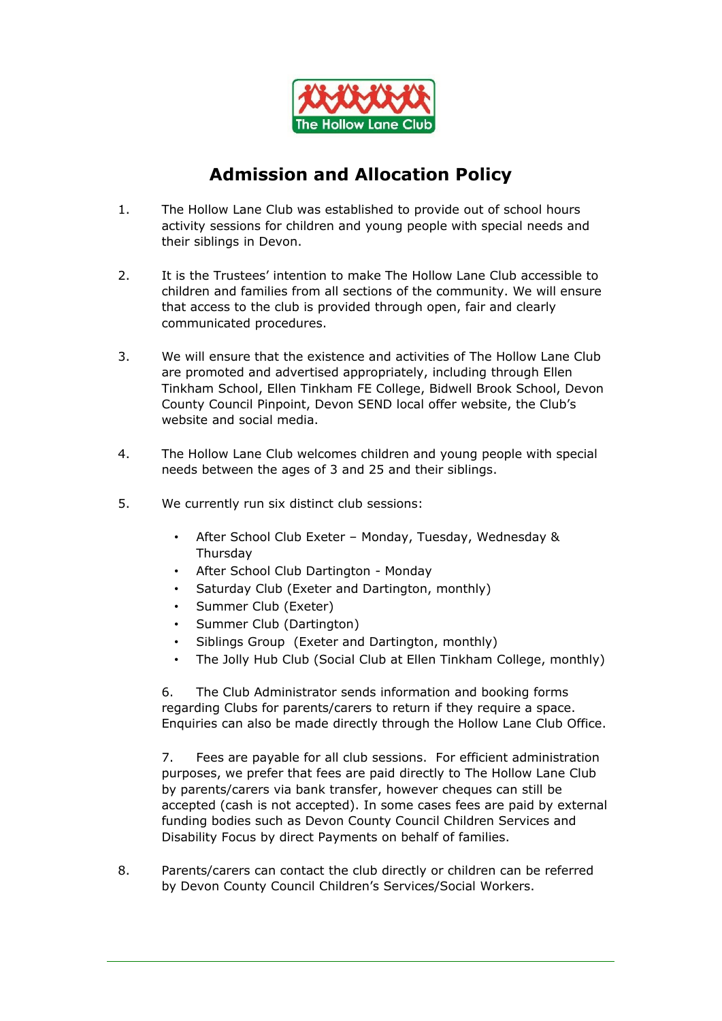

## **Admission and Allocation Policy**

- 1. The Hollow Lane Club was established to provide out of school hours activity sessions for children and young people with special needs and their siblings in Devon.
- 2. It is the Trustees' intention to make The Hollow Lane Club accessible to children and families from all sections of the community. We will ensure that access to the club is provided through open, fair and clearly communicated procedures.
- 3. We will ensure that the existence and activities of The Hollow Lane Club are promoted and advertised appropriately, including through Ellen Tinkham School, Ellen Tinkham FE College, Bidwell Brook School, Devon County Council Pinpoint, Devon SEND local offer website, the Club's website and social media.
- 4. The Hollow Lane Club welcomes children and young people with special needs between the ages of 3 and 25 and their siblings.
- 5. We currently run six distinct club sessions:
	- After School Club Exeter Monday, Tuesday, Wednesday & Thursday
	- After School Club Dartington Monday
	- Saturday Club (Exeter and Dartington, monthly)
	- Summer Club (Exeter)
	- Summer Club (Dartington)
	- Siblings Group (Exeter and Dartington, monthly)
	- The Jolly Hub Club (Social Club at Ellen Tinkham College, monthly)

6. The Club Administrator sends information and booking forms regarding Clubs for parents/carers to return if they require a space. Enquiries can also be made directly through the Hollow Lane Club Office.

7. Fees are payable for all club sessions. For efficient administration purposes, we prefer that fees are paid directly to The Hollow Lane Club by parents/carers via bank transfer, however cheques can still be accepted (cash is not accepted). In some cases fees are paid by external funding bodies such as Devon County Council Children Services and Disability Focus by direct Payments on behalf of families.

8. Parents/carers can contact the club directly or children can be referred by Devon County Council Children's Services/Social Workers.